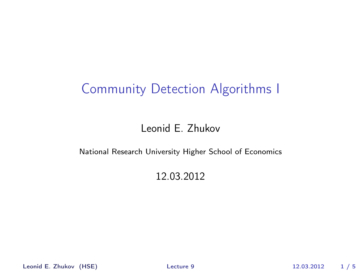#### Leonid E. Zhukov

#### National Research University Higher School of Economics

#### <span id="page-0-0"></span>12.03.2012

Leonid E. Zhukov (HSE) [Lecture 9](#page-4-0) 12.03.2012 1 / 5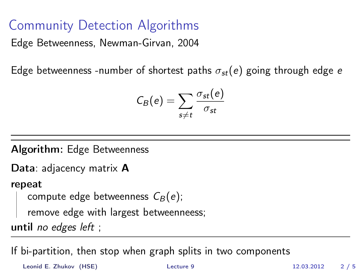Edge Betweenness, Newman-Girvan, 2004

Edge betweenness -number of shortest paths  $\sigma_{st}(e)$  going through edge e

$$
C_B(e) = \sum_{s \neq t} \frac{\sigma_{st}(e)}{\sigma_{st}}
$$

Algorithm: Edge Betweenness

Data: adjacency matrix **A** 

#### repeat

```
compute edge betweenness \mathcal{C}_{B} (e);
```
remove edge with largest betweenneess;

until no edges left ;

If bi-partition, then stop when graph splits in two components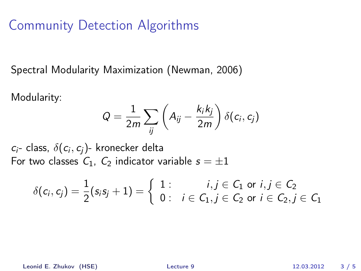Spectral Modularity Maximization (Newman, 2006)

Modularity:

$$
Q = \frac{1}{2m} \sum_{ij} \left( A_{ij} - \frac{k_i k_j}{2m} \right) \delta(c_i, c_j)
$$

 $c_i$ - class,  $\delta(c_i,c_j)$ - kronecker delta For two classes  $C_1$ ,  $C_2$  indicator variable  $s = \pm 1$ 

$$
\delta(c_i,c_j) = \frac{1}{2}(s_is_j + 1) = \left\{\begin{array}{ll}1: & i,j \in C_1 \text{ or } i,j \in C_2 \\0: & i \in C_1, j \in C_2 \text{ or } i \in C_2, j \in C_1\end{array}\right.
$$

Leonid E. Zhukov (HSE) [Lecture 9](#page-0-0) 12.03.2012 3 / 5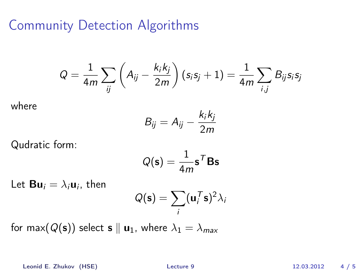$$
Q = \frac{1}{4m} \sum_{ij} \left( A_{ij} - \frac{k_i k_j}{2m} \right) (s_i s_j + 1) = \frac{1}{4m} \sum_{i,j} B_{ij} s_i s_j
$$

where

$$
B_{ij} = A_{ij} - \frac{k_i k_j}{2m}
$$

Qudratic form:

$$
Q(\mathbf{s}) = \frac{1}{4m} \mathbf{s}^T \mathbf{B} \mathbf{s}
$$

Let  ${\bf B}{\bf u}_i=\lambda_i{\bf u}_i$ , then

$$
Q(\mathbf{s}) = \sum_i (\mathbf{u}_i^T \mathbf{s})^2 \lambda_i
$$

for max( $Q(s)$ ) select s || **u**<sub>1</sub>, where  $\lambda_1 = \lambda_{max}$ 

Leonid E. Zhukov (HSE) [Lecture 9](#page-0-0) 12.03.2012 4 / 5